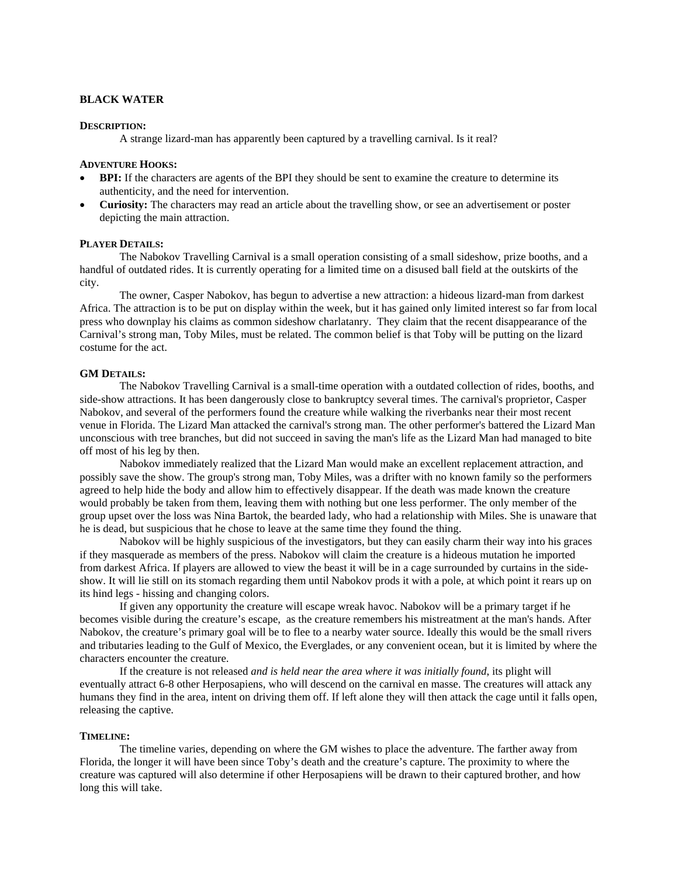## **BLACK WATER**

#### **DESCRIPTION:**

A strange lizard-man has apparently been captured by a travelling carnival. Is it real?

#### **ADVENTURE HOOKS:**

- **BPI:** If the characters are agents of the BPI they should be sent to examine the creature to determine its authenticity, and the need for intervention.
- **Curiosity:** The characters may read an article about the travelling show, or see an advertisement or poster depicting the main attraction.

## **PLAYER DETAILS:**

The Nabokov Travelling Carnival is a small operation consisting of a small sideshow, prize booths, and a handful of outdated rides. It is currently operating for a limited time on a disused ball field at the outskirts of the city.

The owner, Casper Nabokov, has begun to advertise a new attraction: a hideous lizard-man from darkest Africa. The attraction is to be put on display within the week, but it has gained only limited interest so far from local press who downplay his claims as common sideshow charlatanry. They claim that the recent disappearance of the Carnival's strong man, Toby Miles, must be related. The common belief is that Toby will be putting on the lizard costume for the act.

#### **GM DETAILS:**

 The Nabokov Travelling Carnival is a small-time operation with a outdated collection of rides, booths, and side-show attractions. It has been dangerously close to bankruptcy several times. The carnival's proprietor, Casper Nabokov, and several of the performers found the creature while walking the riverbanks near their most recent venue in Florida. The Lizard Man attacked the carnival's strong man. The other performer's battered the Lizard Man unconscious with tree branches, but did not succeed in saving the man's life as the Lizard Man had managed to bite off most of his leg by then.

Nabokov immediately realized that the Lizard Man would make an excellent replacement attraction, and possibly save the show. The group's strong man, Toby Miles, was a drifter with no known family so the performers agreed to help hide the body and allow him to effectively disappear. If the death was made known the creature would probably be taken from them, leaving them with nothing but one less performer. The only member of the group upset over the loss was Nina Bartok, the bearded lady, who had a relationship with Miles. She is unaware that he is dead, but suspicious that he chose to leave at the same time they found the thing.

 Nabokov will be highly suspicious of the investigators, but they can easily charm their way into his graces if they masquerade as members of the press. Nabokov will claim the creature is a hideous mutation he imported from darkest Africa. If players are allowed to view the beast it will be in a cage surrounded by curtains in the sideshow. It will lie still on its stomach regarding them until Nabokov prods it with a pole, at which point it rears up on its hind legs - hissing and changing colors.

If given any opportunity the creature will escape wreak havoc. Nabokov will be a primary target if he becomes visible during the creature's escape, as the creature remembers his mistreatment at the man's hands. After Nabokov, the creature's primary goal will be to flee to a nearby water source. Ideally this would be the small rivers and tributaries leading to the Gulf of Mexico, the Everglades, or any convenient ocean, but it is limited by where the characters encounter the creature.

If the creature is not released *and is held near the area where it was initially found*, its plight will eventually attract 6-8 other Herposapiens, who will descend on the carnival en masse. The creatures will attack any humans they find in the area, intent on driving them off. If left alone they will then attack the cage until it falls open, releasing the captive.

#### **TIMELINE:**

 The timeline varies, depending on where the GM wishes to place the adventure. The farther away from Florida, the longer it will have been since Toby's death and the creature's capture. The proximity to where the creature was captured will also determine if other Herposapiens will be drawn to their captured brother, and how long this will take.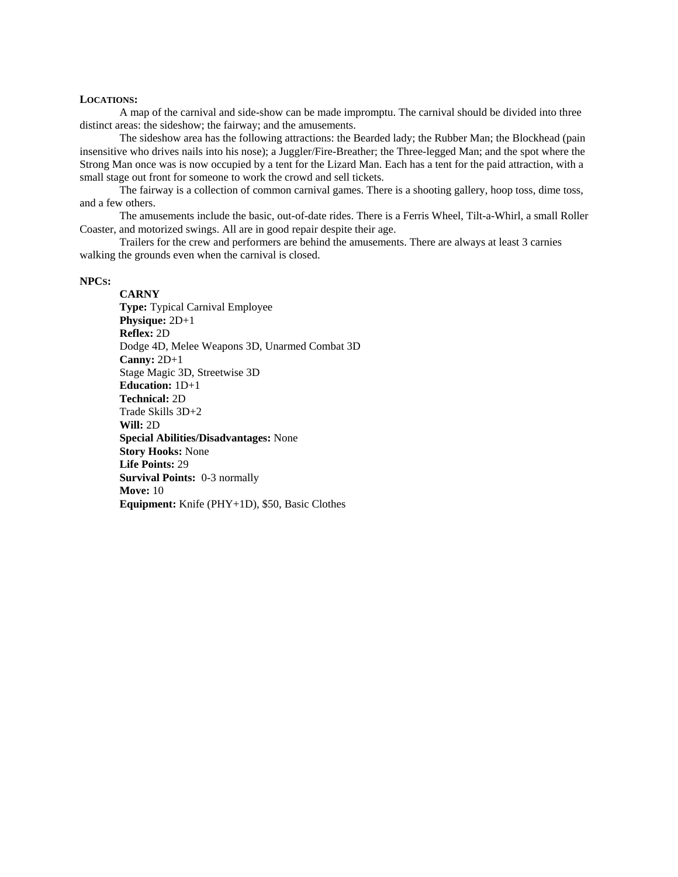#### **LOCATIONS:**

 A map of the carnival and side-show can be made impromptu. The carnival should be divided into three distinct areas: the sideshow; the fairway; and the amusements.

 The sideshow area has the following attractions: the Bearded lady; the Rubber Man; the Blockhead (pain insensitive who drives nails into his nose); a Juggler/Fire-Breather; the Three-legged Man; and the spot where the Strong Man once was is now occupied by a tent for the Lizard Man. Each has a tent for the paid attraction, with a small stage out front for someone to work the crowd and sell tickets.

 The fairway is a collection of common carnival games. There is a shooting gallery, hoop toss, dime toss, and a few others.

 The amusements include the basic, out-of-date rides. There is a Ferris Wheel, Tilt-a-Whirl, a small Roller Coaster, and motorized swings. All are in good repair despite their age.

 Trailers for the crew and performers are behind the amusements. There are always at least 3 carnies walking the grounds even when the carnival is closed.

## **NPCS:**

**CARNY Type:** Typical Carnival Employee **Physique:** 2D+1 **Reflex:** 2D Dodge 4D, Melee Weapons 3D, Unarmed Combat 3D **Canny:** 2D+1 Stage Magic 3D, Streetwise 3D **Education:** 1D+1 **Technical:** 2D Trade Skills 3D+2 **Will:** 2D **Special Abilities/Disadvantages:** None **Story Hooks:** None **Life Points:** 29 **Survival Points:** 0-3 normally **Move:** 10 **Equipment:** Knife (PHY+1D), \$50, Basic Clothes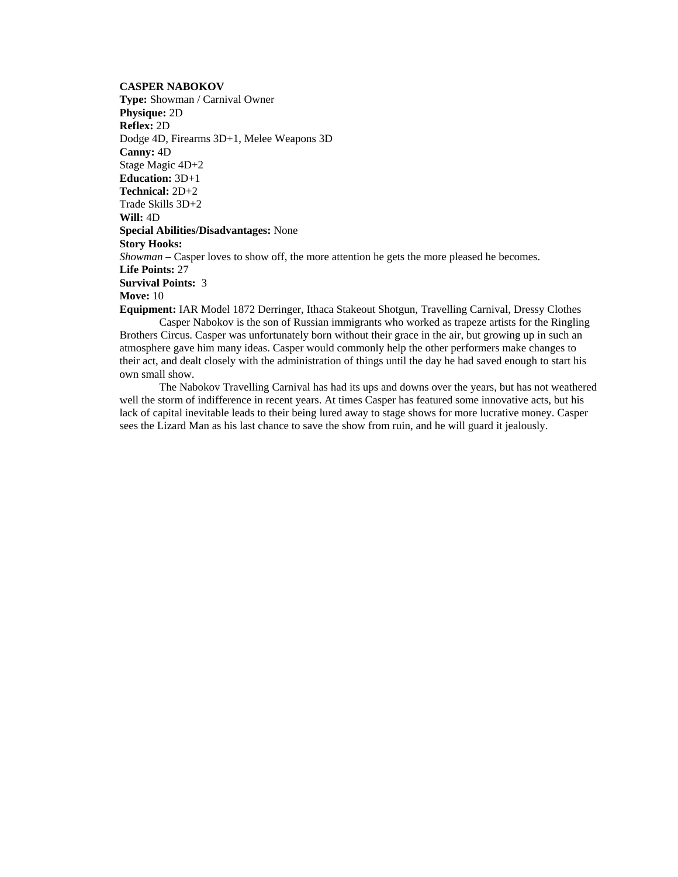**CASPER NABOKOV** 

**Type:** Showman / Carnival Owner **Physique:** 2D **Reflex:** 2D Dodge 4D, Firearms 3D+1, Melee Weapons 3D **Canny:** 4D Stage Magic 4D+2 **Education:** 3D+1 **Technical:** 2D+2 Trade Skills 3D+2 **Will:** 4D **Special Abilities/Disadvantages:** None **Story Hooks:** *Showman* – Casper loves to show off, the more attention he gets the more pleased he becomes. **Life Points:** 27 **Survival Points:** 3 **Move:** 10 **Equipment:** IAR Model 1872 Derringer, Ithaca Stakeout Shotgun, Travelling Carnival, Dressy Clothes

 Casper Nabokov is the son of Russian immigrants who worked as trapeze artists for the Ringling Brothers Circus. Casper was unfortunately born without their grace in the air, but growing up in such an atmosphere gave him many ideas. Casper would commonly help the other performers make changes to their act, and dealt closely with the administration of things until the day he had saved enough to start his own small show.

 The Nabokov Travelling Carnival has had its ups and downs over the years, but has not weathered well the storm of indifference in recent years. At times Casper has featured some innovative acts, but his lack of capital inevitable leads to their being lured away to stage shows for more lucrative money. Casper sees the Lizard Man as his last chance to save the show from ruin, and he will guard it jealously.